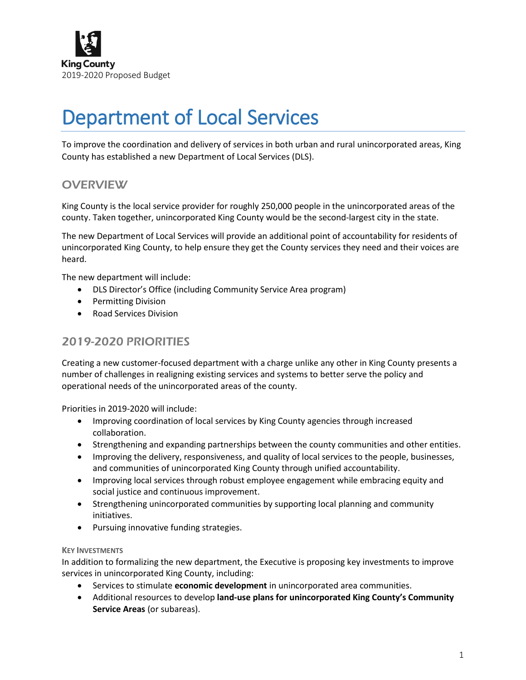

# Department of Local Services

To improve the coordination and delivery of services in both urban and rural unincorporated areas, King County has established a new Department of Local Services (DLS).

## **OVERVIEW**

King County is the local service provider for roughly 250,000 people in the unincorporated areas of the county. Taken together, unincorporated King County would be the second-largest city in the state.

The new Department of Local Services will provide an additional point of accountability for residents of unincorporated King County, to help ensure they get the County services they need and their voices are heard.

The new department will include:

- DLS Director's Office (including Community Service Area program)
- Permitting Division
- Road Services Division

## 2019-2020 PRIORITIES

Creating a new customer-focused department with a charge unlike any other in King County presents a number of challenges in realigning existing services and systems to better serve the policy and operational needs of the unincorporated areas of the county.

Priorities in 2019-2020 will include:

- Improving coordination of local services by King County agencies through increased collaboration.
- Strengthening and expanding partnerships between the county communities and other entities.
- Improving the delivery, responsiveness, and quality of local services to the people, businesses, and communities of unincorporated King County through unified accountability.
- Improving local services through robust employee engagement while embracing equity and social justice and continuous improvement.
- Strengthening unincorporated communities by supporting local planning and community initiatives.
- Pursuing innovative funding strategies.

### **KEY INVESTMENTS**

In addition to formalizing the new department, the Executive is proposing key investments to improve services in unincorporated King County, including:

- Services to stimulate **economic development** in unincorporated area communities.
- Additional resources to develop **land-use plans for unincorporated King County's Community Service Areas** (or subareas).